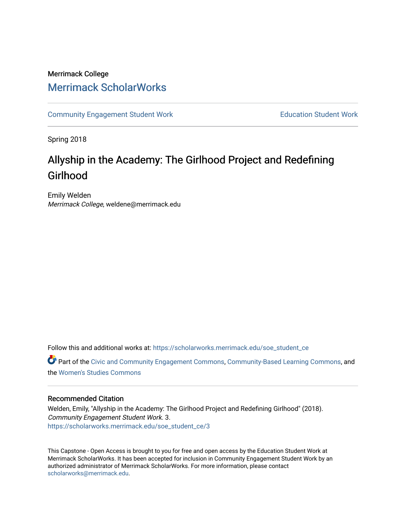## Merrimack College [Merrimack ScholarWorks](https://scholarworks.merrimack.edu/)

[Community Engagement Student Work](https://scholarworks.merrimack.edu/soe_student_ce) **Education Student Work** Education Student Work

Spring 2018

# Allyship in the Academy: The Girlhood Project and Redefining Girlhood

Emily Welden Merrimack College, weldene@merrimack.edu

Follow this and additional works at: [https://scholarworks.merrimack.edu/soe\\_student\\_ce](https://scholarworks.merrimack.edu/soe_student_ce?utm_source=scholarworks.merrimack.edu%2Fsoe_student_ce%2F3&utm_medium=PDF&utm_campaign=PDFCoverPages) 

Part of the [Civic and Community Engagement Commons](http://network.bepress.com/hgg/discipline/1028?utm_source=scholarworks.merrimack.edu%2Fsoe_student_ce%2F3&utm_medium=PDF&utm_campaign=PDFCoverPages), [Community-Based Learning Commons](http://network.bepress.com/hgg/discipline/1046?utm_source=scholarworks.merrimack.edu%2Fsoe_student_ce%2F3&utm_medium=PDF&utm_campaign=PDFCoverPages), and the [Women's Studies Commons](http://network.bepress.com/hgg/discipline/561?utm_source=scholarworks.merrimack.edu%2Fsoe_student_ce%2F3&utm_medium=PDF&utm_campaign=PDFCoverPages) 

## Recommended Citation

Welden, Emily, "Allyship in the Academy: The Girlhood Project and Redefining Girlhood" (2018). Community Engagement Student Work. 3. [https://scholarworks.merrimack.edu/soe\\_student\\_ce/3](https://scholarworks.merrimack.edu/soe_student_ce/3?utm_source=scholarworks.merrimack.edu%2Fsoe_student_ce%2F3&utm_medium=PDF&utm_campaign=PDFCoverPages) 

This Capstone - Open Access is brought to you for free and open access by the Education Student Work at Merrimack ScholarWorks. It has been accepted for inclusion in Community Engagement Student Work by an authorized administrator of Merrimack ScholarWorks. For more information, please contact [scholarworks@merrimack.edu](mailto:scholarworks@merrimack.edu).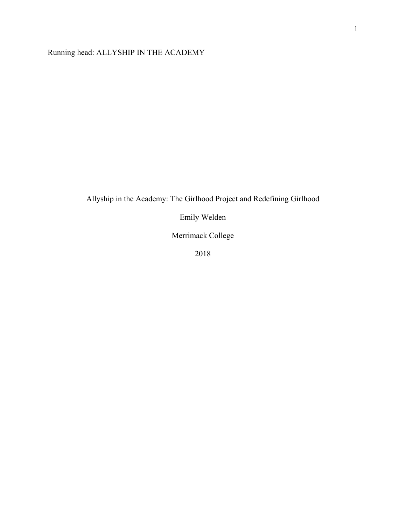Running head: ALLYSHIP IN THE ACADEMY

## Allyship in the Academy: The Girlhood Project and Redefining Girlhood

Emily Welden

Merrimack College

2018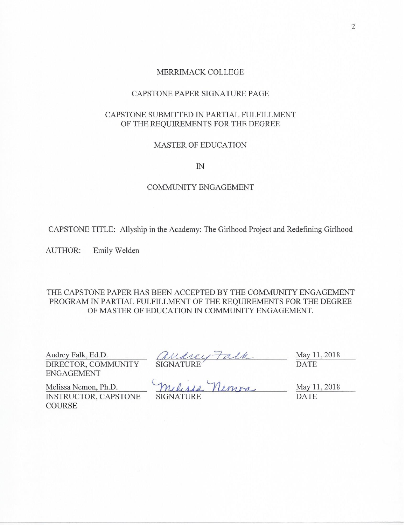#### MERRIMACK COLLEGE

#### CAPSTONE PAPER SIGNATURE PAGE

## CAPSTONE SUBMITTED IN PARTIAL FULFILLMENT OF THE REQUIREMENTS FOR THE DEGREE

#### **MASTER OF EDUCATION**

 $IN$ 

## **COMMUNITY ENGAGEMENT**

CAPSTONE TITLE: Allyship in the Academy: The Girlhood Project and Redefining Girlhood

**AUTHOR:** Emily Welden

## THE CAPSTONE PAPER HAS BEEN ACCEPTED BY THE COMMUNITY ENGAGEMENT PROGRAM IN PARTIAL FULFILLMENT OF THE REQUIREMENTS FOR THE DEGREE OF MASTER OF EDUCATION IN COMMUNITY ENGAGEMENT.

Audrey Falk, Ed.D. DIRECTOR, COMMUNITY **ENGAGEMENT** 

May 11, 2018 **DATE** 

Melissa Nemon, Ph.D. INSTRUCTOR, CAPSTONE COURSE

audrey Falk<br>SIGNATURE<br>Melisia Nemon **SIGNATURE** 

May 11, 2018 **DATE**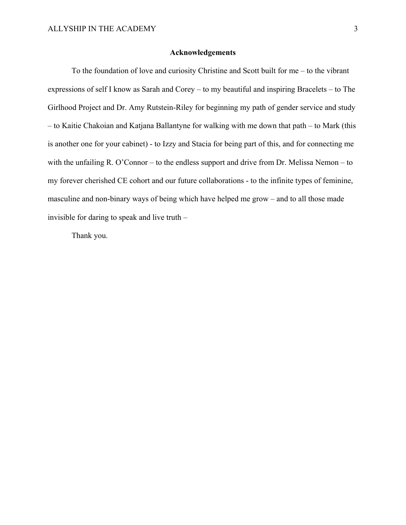#### **Acknowledgements**

 To the foundation of love and curiosity Christine and Scott built for me – to the vibrant expressions of self I know as Sarah and Corey – to my beautiful and inspiring Bracelets – to The Girlhood Project and Dr. Amy Rutstein-Riley for beginning my path of gender service and study – to Kaitie Chakoian and Katjana Ballantyne for walking with me down that path – to Mark (this is another one for your cabinet) - to Izzy and Stacia for being part of this, and for connecting me with the unfailing R. O'Connor – to the endless support and drive from Dr. Melissa Nemon – to my forever cherished CE cohort and our future collaborations - to the infinite types of feminine, masculine and non-binary ways of being which have helped me grow – and to all those made invisible for daring to speak and live truth –

Thank you.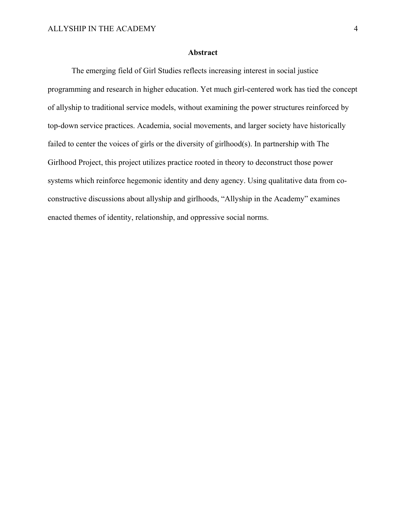## **Abstract**

 The emerging field of Girl Studies reflects increasing interest in social justice programming and research in higher education. Yet much girl-centered work has tied the concept of allyship to traditional service models, without examining the power structures reinforced by top-down service practices. Academia, social movements, and larger society have historically failed to center the voices of girls or the diversity of girlhood(s). In partnership with The Girlhood Project, this project utilizes practice rooted in theory to deconstruct those power systems which reinforce hegemonic identity and deny agency. Using qualitative data from coconstructive discussions about allyship and girlhoods, "Allyship in the Academy" examines enacted themes of identity, relationship, and oppressive social norms.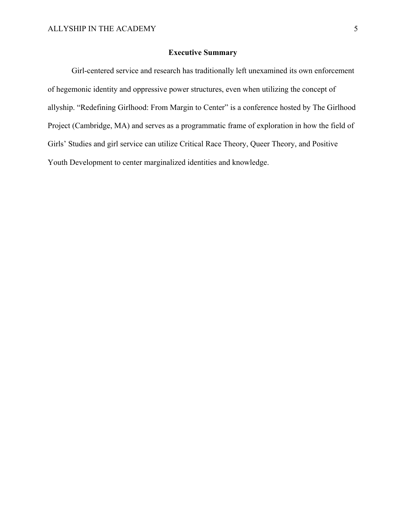## **Executive Summary**

 Girl-centered service and research has traditionally left unexamined its own enforcement of hegemonic identity and oppressive power structures, even when utilizing the concept of allyship. "Redefining Girlhood: From Margin to Center" is a conference hosted by The Girlhood Project (Cambridge, MA) and serves as a programmatic frame of exploration in how the field of Girls' Studies and girl service can utilize Critical Race Theory, Queer Theory, and Positive Youth Development to center marginalized identities and knowledge.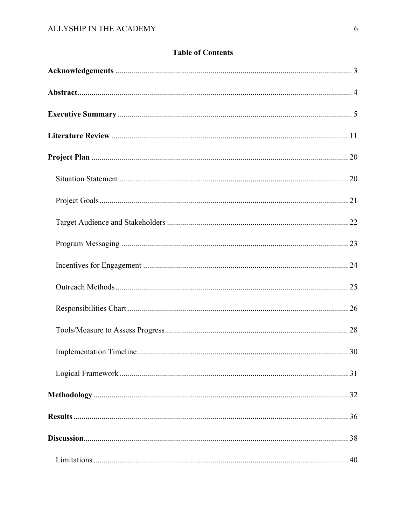## **Table of Contents**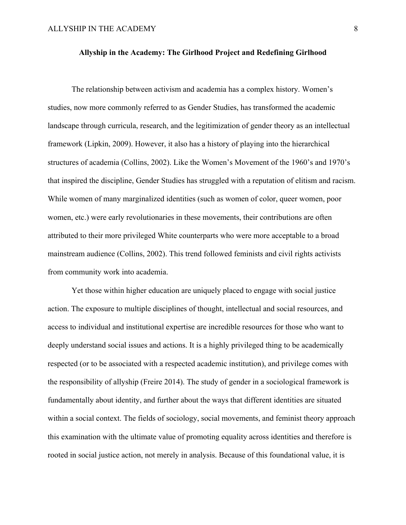#### **Allyship in the Academy: The Girlhood Project and Redefining Girlhood**

 The relationship between activism and academia has a complex history. Women's studies, now more commonly referred to as Gender Studies, has transformed the academic landscape through curricula, research, and the legitimization of gender theory as an intellectual framework (Lipkin, 2009). However, it also has a history of playing into the hierarchical structures of academia (Collins, 2002). Like the Women's Movement of the 1960's and 1970's that inspired the discipline, Gender Studies has struggled with a reputation of elitism and racism. While women of many marginalized identities (such as women of color, queer women, poor women, etc.) were early revolutionaries in these movements, their contributions are often attributed to their more privileged White counterparts who were more acceptable to a broad mainstream audience (Collins, 2002). This trend followed feminists and civil rights activists from community work into academia.

 Yet those within higher education are uniquely placed to engage with social justice action. The exposure to multiple disciplines of thought, intellectual and social resources, and access to individual and institutional expertise are incredible resources for those who want to deeply understand social issues and actions. It is a highly privileged thing to be academically respected (or to be associated with a respected academic institution), and privilege comes with the responsibility of allyship (Freire 2014). The study of gender in a sociological framework is fundamentally about identity, and further about the ways that different identities are situated within a social context. The fields of sociology, social movements, and feminist theory approach this examination with the ultimate value of promoting equality across identities and therefore is rooted in social justice action, not merely in analysis. Because of this foundational value, it is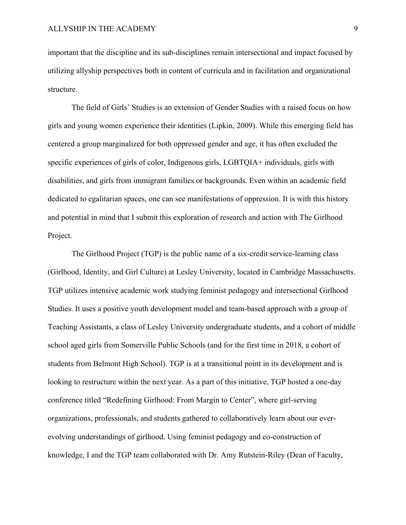important that the discipline and its sub-disciplines remain intersectional and impact focused by utilizing allyship perspectives both in content of curricula and in facilitation and organizational structure.

 The field of Girls' Studies is an extension of Gender Studies with a raised focus on how girls and young women experience their identities (Lipkin, 2009). While this emerging field has centered a group marginalized for both oppressed gender and age, it has often excluded the specific experiences of girls of color, Indigenous girls, LGBTQIA+ individuals, girls with disabilities, and girls from immigrant families or backgrounds. Even within an academic field dedicated to egalitarian spaces, one can see manifestations of oppression. It is with this history and potential in mind that I submit this exploration of research and action with The Girlhood Project.

 The Girlhood Project (TGP) is the public name of a six-credit service-learning class (Girlhood, Identity, and Girl Culture) at Lesley University, located in Cambridge Massachusetts. TGP utilizes intensive academic work studying feminist pedagogy and intersectional Girlhood Studies. It uses a positive youth development model and team-based approach with a group of Teaching Assistants, a class of Lesley University undergraduate students, and a cohort of middle school aged girls from Somerville Public Schools (and for the first time in 2018, a cohort of students from Belmont High School). TGP is at a transitional point in its development and is looking to restructure within the next year. As a part of this initiative, TGP hosted a one-day conference titled "Redefining Girlhood: From Margin to Center", where girl-serving organizations, professionals, and students gathered to collaboratively learn about our everevolving understandings of girlhood. Using feminist pedagogy and co-construction of knowledge, I and the TGP team collaborated with Dr. Amy Rutstein-Riley (Dean of Faculty,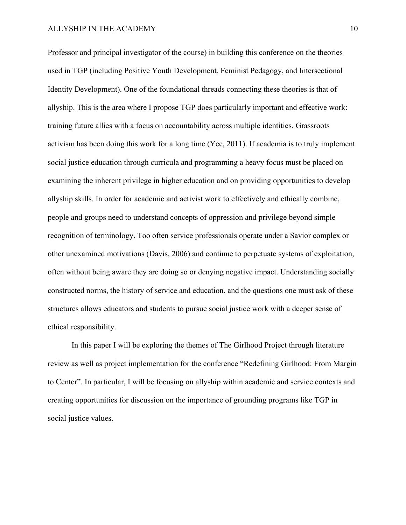#### ALLYSHIP IN THE ACADEMY 10

Professor and principal investigator of the course) in building this conference on the theories used in TGP (including Positive Youth Development, Feminist Pedagogy, and Intersectional Identity Development). One of the foundational threads connecting these theories is that of allyship. This is the area where I propose TGP does particularly important and effective work: training future allies with a focus on accountability across multiple identities. Grassroots activism has been doing this work for a long time (Yee, 2011). If academia is to truly implement social justice education through curricula and programming a heavy focus must be placed on examining the inherent privilege in higher education and on providing opportunities to develop allyship skills. In order for academic and activist work to effectively and ethically combine, people and groups need to understand concepts of oppression and privilege beyond simple recognition of terminology. Too often service professionals operate under a Savior complex or other unexamined motivations (Davis, 2006) and continue to perpetuate systems of exploitation, often without being aware they are doing so or denying negative impact. Understanding socially constructed norms, the history of service and education, and the questions one must ask of these structures allows educators and students to pursue social justice work with a deeper sense of ethical responsibility.

 In this paper I will be exploring the themes of The Girlhood Project through literature review as well as project implementation for the conference "Redefining Girlhood: From Margin to Center". In particular, I will be focusing on allyship within academic and service contexts and creating opportunities for discussion on the importance of grounding programs like TGP in social justice values.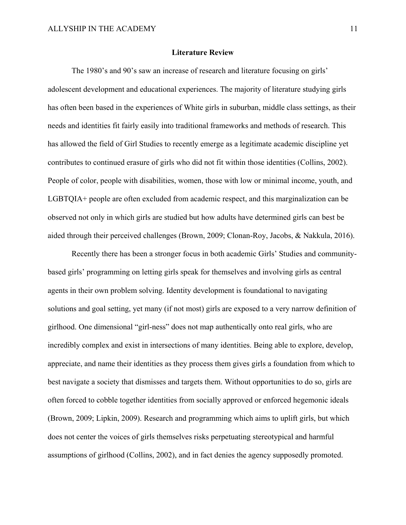#### **Literature Review**

 The 1980's and 90's saw an increase of research and literature focusing on girls' adolescent development and educational experiences. The majority of literature studying girls has often been based in the experiences of White girls in suburban, middle class settings, as their needs and identities fit fairly easily into traditional frameworks and methods of research. This has allowed the field of Girl Studies to recently emerge as a legitimate academic discipline yet contributes to continued erasure of girls who did not fit within those identities (Collins, 2002). People of color, people with disabilities, women, those with low or minimal income, youth, and LGBTQIA+ people are often excluded from academic respect, and this marginalization can be observed not only in which girls are studied but how adults have determined girls can best be aided through their perceived challenges (Brown, 2009; Clonan-Roy, Jacobs, & Nakkula, 2016).

 Recently there has been a stronger focus in both academic Girls' Studies and communitybased girls' programming on letting girls speak for themselves and involving girls as central agents in their own problem solving. Identity development is foundational to navigating solutions and goal setting, yet many (if not most) girls are exposed to a very narrow definition of girlhood. One dimensional "girl-ness" does not map authentically onto real girls, who are incredibly complex and exist in intersections of many identities. Being able to explore, develop, appreciate, and name their identities as they process them gives girls a foundation from which to best navigate a society that dismisses and targets them. Without opportunities to do so, girls are often forced to cobble together identities from socially approved or enforced hegemonic ideals (Brown, 2009; Lipkin, 2009). Research and programming which aims to uplift girls, but which does not center the voices of girls themselves risks perpetuating stereotypical and harmful assumptions of girlhood (Collins, 2002), and in fact denies the agency supposedly promoted.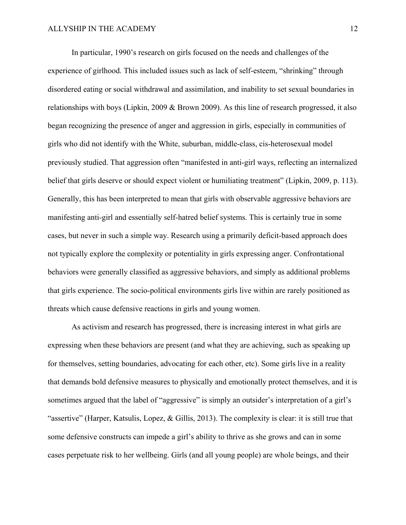In particular, 1990's research on girls focused on the needs and challenges of the experience of girlhood. This included issues such as lack of self-esteem, "shrinking" through disordered eating or social withdrawal and assimilation, and inability to set sexual boundaries in relationships with boys (Lipkin, 2009 & Brown 2009). As this line of research progressed, it also began recognizing the presence of anger and aggression in girls, especially in communities of girls who did not identify with the White, suburban, middle-class, cis-heterosexual model previously studied. That aggression often "manifested in anti-girl ways, reflecting an internalized belief that girls deserve or should expect violent or humiliating treatment" (Lipkin, 2009, p. 113). Generally, this has been interpreted to mean that girls with observable aggressive behaviors are manifesting anti-girl and essentially self-hatred belief systems. This is certainly true in some cases, but never in such a simple way. Research using a primarily deficit-based approach does not typically explore the complexity or potentiality in girls expressing anger. Confrontational behaviors were generally classified as aggressive behaviors, and simply as additional problems that girls experience. The socio-political environments girls live within are rarely positioned as threats which cause defensive reactions in girls and young women.

 As activism and research has progressed, there is increasing interest in what girls are expressing when these behaviors are present (and what they are achieving, such as speaking up for themselves, setting boundaries, advocating for each other, etc). Some girls live in a reality that demands bold defensive measures to physically and emotionally protect themselves, and it is sometimes argued that the label of "aggressive" is simply an outsider's interpretation of a girl's "assertive" (Harper, Katsulis, Lopez, & Gillis, 2013). The complexity is clear: it is still true that some defensive constructs can impede a girl's ability to thrive as she grows and can in some cases perpetuate risk to her wellbeing. Girls (and all young people) are whole beings, and their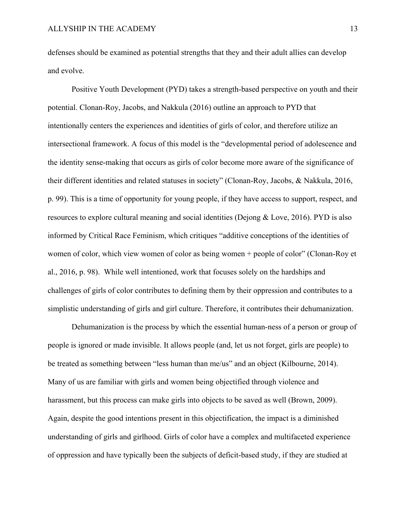defenses should be examined as potential strengths that they and their adult allies can develop and evolve.

 Positive Youth Development (PYD) takes a strength-based perspective on youth and their potential. Clonan-Roy, Jacobs, and Nakkula (2016) outline an approach to PYD that intentionally centers the experiences and identities of girls of color, and therefore utilize an intersectional framework. A focus of this model is the "developmental period of adolescence and the identity sense-making that occurs as girls of color become more aware of the significance of their different identities and related statuses in society" (Clonan-Roy, Jacobs, & Nakkula, 2016, p. 99). This is a time of opportunity for young people, if they have access to support, respect, and resources to explore cultural meaning and social identities (Dejong & Love, 2016). PYD is also informed by Critical Race Feminism, which critiques "additive conceptions of the identities of women of color, which view women of color as being women + people of color" (Clonan-Roy et al., 2016, p. 98). While well intentioned, work that focuses solely on the hardships and challenges of girls of color contributes to defining them by their oppression and contributes to a simplistic understanding of girls and girl culture. Therefore, it contributes their dehumanization.

 Dehumanization is the process by which the essential human-ness of a person or group of people is ignored or made invisible. It allows people (and, let us not forget, girls are people) to be treated as something between "less human than me/us" and an object (Kilbourne, 2014). Many of us are familiar with girls and women being objectified through violence and harassment, but this process can make girls into objects to be saved as well (Brown, 2009). Again, despite the good intentions present in this objectification, the impact is a diminished understanding of girls and girlhood. Girls of color have a complex and multifaceted experience of oppression and have typically been the subjects of deficit-based study, if they are studied at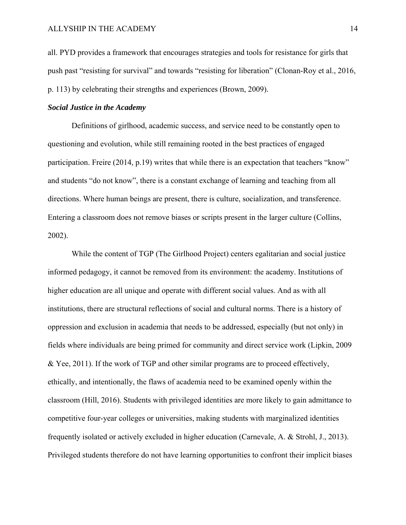all. PYD provides a framework that encourages strategies and tools for resistance for girls that push past "resisting for survival" and towards "resisting for liberation" (Clonan-Roy et al., 2016, p. 113) by celebrating their strengths and experiences (Brown, 2009).

#### *Social Justice in the Academy*

 Definitions of girlhood, academic success, and service need to be constantly open to questioning and evolution, while still remaining rooted in the best practices of engaged participation. Freire (2014, p.19) writes that while there is an expectation that teachers "know" and students "do not know", there is a constant exchange of learning and teaching from all directions. Where human beings are present, there is culture, socialization, and transference. Entering a classroom does not remove biases or scripts present in the larger culture (Collins, 2002).

 While the content of TGP (The Girlhood Project) centers egalitarian and social justice informed pedagogy, it cannot be removed from its environment: the academy. Institutions of higher education are all unique and operate with different social values. And as with all institutions, there are structural reflections of social and cultural norms. There is a history of oppression and exclusion in academia that needs to be addressed, especially (but not only) in fields where individuals are being primed for community and direct service work (Lipkin, 2009 & Yee, 2011). If the work of TGP and other similar programs are to proceed effectively, ethically, and intentionally, the flaws of academia need to be examined openly within the classroom (Hill, 2016). Students with privileged identities are more likely to gain admittance to competitive four-year colleges or universities, making students with marginalized identities frequently isolated or actively excluded in higher education (Carnevale, A. & Strohl, J., 2013). Privileged students therefore do not have learning opportunities to confront their implicit biases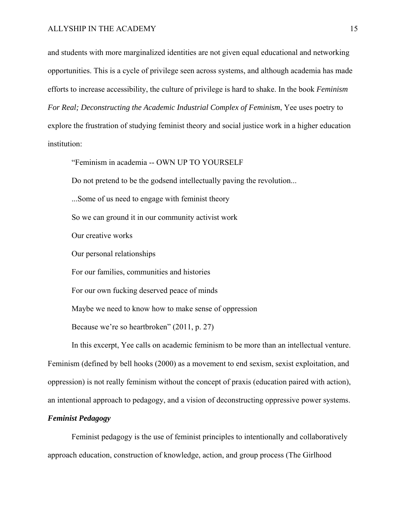and students with more marginalized identities are not given equal educational and networking opportunities. This is a cycle of privilege seen across systems, and although academia has made efforts to increase accessibility, the culture of privilege is hard to shake. In the book *Feminism For Real; Deconstructing the Academic Industrial Complex of Feminism*, Yee uses poetry to explore the frustration of studying feminist theory and social justice work in a higher education institution:

"Feminism in academia -- OWN UP TO YOURSELF

Do not pretend to be the godsend intellectually paving the revolution...

...Some of us need to engage with feminist theory

So we can ground it in our community activist work

Our creative works

Our personal relationships

For our families, communities and histories

For our own fucking deserved peace of minds

Maybe we need to know how to make sense of oppression

Because we're so heartbroken" (2011, p. 27)

 In this excerpt, Yee calls on academic feminism to be more than an intellectual venture. Feminism (defined by bell hooks (2000) as a movement to end sexism, sexist exploitation, and oppression) is not really feminism without the concept of praxis (education paired with action), an intentional approach to pedagogy, and a vision of deconstructing oppressive power systems.

#### *Feminist Pedagogy*

 Feminist pedagogy is the use of feminist principles to intentionally and collaboratively approach education, construction of knowledge, action, and group process (The Girlhood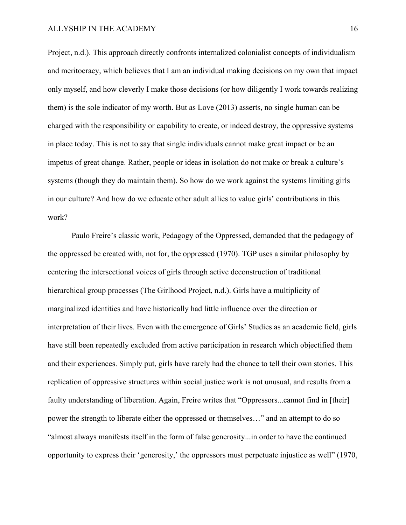#### ALLYSHIP IN THE ACADEMY 16

Project, n.d.). This approach directly confronts internalized colonialist concepts of individualism and meritocracy, which believes that I am an individual making decisions on my own that impact only myself, and how cleverly I make those decisions (or how diligently I work towards realizing them) is the sole indicator of my worth. But as Love (2013) asserts, no single human can be charged with the responsibility or capability to create, or indeed destroy, the oppressive systems in place today. This is not to say that single individuals cannot make great impact or be an impetus of great change. Rather, people or ideas in isolation do not make or break a culture's systems (though they do maintain them). So how do we work against the systems limiting girls in our culture? And how do we educate other adult allies to value girls' contributions in this work?

 Paulo Freire's classic work, Pedagogy of the Oppressed, demanded that the pedagogy of the oppressed be created with, not for, the oppressed (1970). TGP uses a similar philosophy by centering the intersectional voices of girls through active deconstruction of traditional hierarchical group processes (The Girlhood Project, n.d.). Girls have a multiplicity of marginalized identities and have historically had little influence over the direction or interpretation of their lives. Even with the emergence of Girls' Studies as an academic field, girls have still been repeatedly excluded from active participation in research which objectified them and their experiences. Simply put, girls have rarely had the chance to tell their own stories. This replication of oppressive structures within social justice work is not unusual, and results from a faulty understanding of liberation. Again, Freire writes that "Oppressors...cannot find in [their] power the strength to liberate either the oppressed or themselves…" and an attempt to do so "almost always manifests itself in the form of false generosity...in order to have the continued opportunity to express their 'generosity,' the oppressors must perpetuate injustice as well" (1970,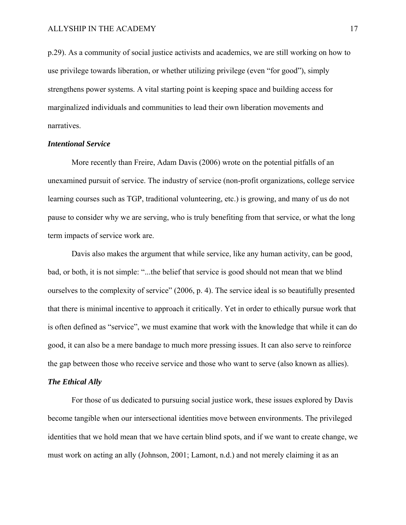p.29). As a community of social justice activists and academics, we are still working on how to use privilege towards liberation, or whether utilizing privilege (even "for good"), simply strengthens power systems. A vital starting point is keeping space and building access for marginalized individuals and communities to lead their own liberation movements and narratives.

#### *Intentional Service*

 More recently than Freire, Adam Davis (2006) wrote on the potential pitfalls of an unexamined pursuit of service. The industry of service (non-profit organizations, college service learning courses such as TGP, traditional volunteering, etc.) is growing, and many of us do not pause to consider why we are serving, who is truly benefiting from that service, or what the long term impacts of service work are.

 Davis also makes the argument that while service, like any human activity, can be good, bad, or both, it is not simple: "...the belief that service is good should not mean that we blind ourselves to the complexity of service" (2006, p. 4). The service ideal is so beautifully presented that there is minimal incentive to approach it critically. Yet in order to ethically pursue work that is often defined as "service", we must examine that work with the knowledge that while it can do good, it can also be a mere bandage to much more pressing issues. It can also serve to reinforce the gap between those who receive service and those who want to serve (also known as allies).

#### *The Ethical Ally*

 For those of us dedicated to pursuing social justice work, these issues explored by Davis become tangible when our intersectional identities move between environments. The privileged identities that we hold mean that we have certain blind spots, and if we want to create change, we must work on acting an ally (Johnson, 2001; Lamont, n.d.) and not merely claiming it as an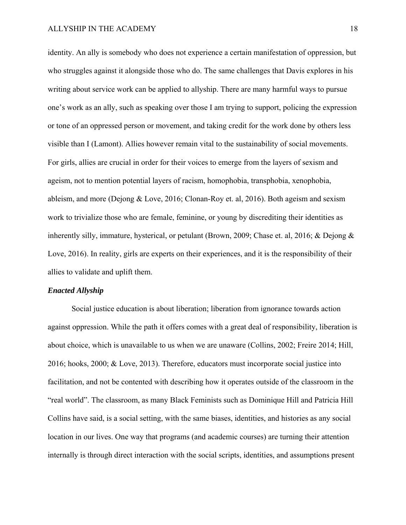#### ALLYSHIP IN THE ACADEMY 18

identity. An ally is somebody who does not experience a certain manifestation of oppression, but who struggles against it alongside those who do. The same challenges that Davis explores in his writing about service work can be applied to allyship. There are many harmful ways to pursue one's work as an ally, such as speaking over those I am trying to support, policing the expression or tone of an oppressed person or movement, and taking credit for the work done by others less visible than I (Lamont). Allies however remain vital to the sustainability of social movements. For girls, allies are crucial in order for their voices to emerge from the layers of sexism and ageism, not to mention potential layers of racism, homophobia, transphobia, xenophobia, ableism, and more (Dejong & Love, 2016; Clonan-Roy et. al, 2016). Both ageism and sexism work to trivialize those who are female, feminine, or young by discrediting their identities as inherently silly, immature, hysterical, or petulant (Brown, 2009; Chase et. al, 2016; & Dejong & Love, 2016). In reality, girls are experts on their experiences, and it is the responsibility of their allies to validate and uplift them.

#### *Enacted Allyship*

 Social justice education is about liberation; liberation from ignorance towards action against oppression. While the path it offers comes with a great deal of responsibility, liberation is about choice, which is unavailable to us when we are unaware (Collins, 2002; Freire 2014; Hill, 2016; hooks, 2000; & Love, 2013). Therefore, educators must incorporate social justice into facilitation, and not be contented with describing how it operates outside of the classroom in the "real world". The classroom, as many Black Feminists such as Dominique Hill and Patricia Hill Collins have said, is a social setting, with the same biases, identities, and histories as any social location in our lives. One way that programs (and academic courses) are turning their attention internally is through direct interaction with the social scripts, identities, and assumptions present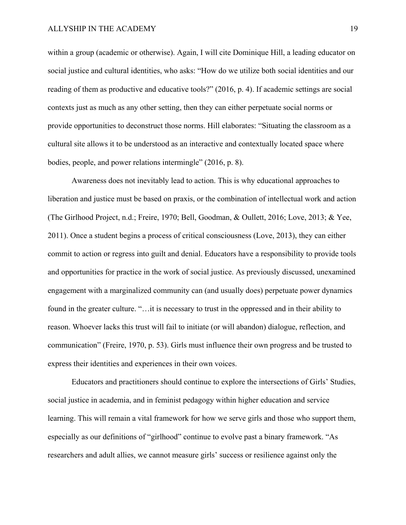within a group (academic or otherwise). Again, I will cite Dominique Hill, a leading educator on social justice and cultural identities, who asks: "How do we utilize both social identities and our reading of them as productive and educative tools?" (2016, p. 4). If academic settings are social contexts just as much as any other setting, then they can either perpetuate social norms or provide opportunities to deconstruct those norms. Hill elaborates: "Situating the classroom as a cultural site allows it to be understood as an interactive and contextually located space where bodies, people, and power relations intermingle" (2016, p. 8).

 Awareness does not inevitably lead to action. This is why educational approaches to liberation and justice must be based on praxis, or the combination of intellectual work and action (The Girlhood Project, n.d.; Freire, 1970; Bell, Goodman, & Oullett, 2016; Love, 2013; & Yee, 2011). Once a student begins a process of critical consciousness (Love, 2013), they can either commit to action or regress into guilt and denial. Educators have a responsibility to provide tools and opportunities for practice in the work of social justice. As previously discussed, unexamined engagement with a marginalized community can (and usually does) perpetuate power dynamics found in the greater culture. "…it is necessary to trust in the oppressed and in their ability to reason. Whoever lacks this trust will fail to initiate (or will abandon) dialogue, reflection, and communication" (Freire, 1970, p. 53). Girls must influence their own progress and be trusted to express their identities and experiences in their own voices.

 Educators and practitioners should continue to explore the intersections of Girls' Studies, social justice in academia, and in feminist pedagogy within higher education and service learning. This will remain a vital framework for how we serve girls and those who support them, especially as our definitions of "girlhood" continue to evolve past a binary framework. "As researchers and adult allies, we cannot measure girls' success or resilience against only the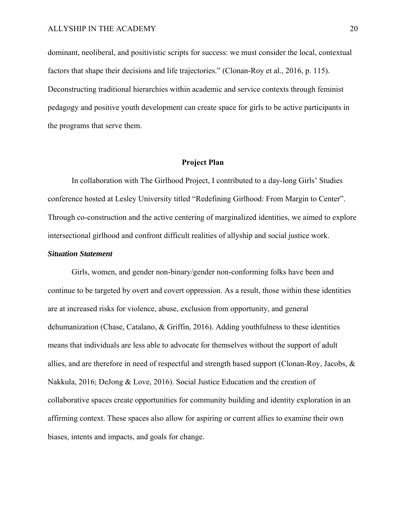dominant, neoliberal, and positivistic scripts for success: we must consider the local, contextual factors that shape their decisions and life trajectories." (Clonan-Roy et al., 2016, p. 115). Deconstructing traditional hierarchies within academic and service contexts through feminist pedagogy and positive youth development can create space for girls to be active participants in the programs that serve them.

#### **Project Plan**

 In collaboration with The Girlhood Project, I contributed to a day-long Girls' Studies conference hosted at Lesley University titled "Redefining Girlhood: From Margin to Center". Through co-construction and the active centering of marginalized identities, we aimed to explore intersectional girlhood and confront difficult realities of allyship and social justice work.

#### *Situation Statement*

Girls, women, and gender non-binary/gender non-conforming folks have been and continue to be targeted by overt and covert oppression. As a result, those within these identities are at increased risks for violence, abuse, exclusion from opportunity, and general dehumanization (Chase, Catalano, & Griffin, 2016). Adding youthfulness to these identities means that individuals are less able to advocate for themselves without the support of adult allies, and are therefore in need of respectful and strength based support (Clonan-Roy, Jacobs, & Nakkula, 2016; DeJong & Love, 2016). Social Justice Education and the creation of collaborative spaces create opportunities for community building and identity exploration in an affirming context. These spaces also allow for aspiring or current allies to examine their own biases, intents and impacts, and goals for change.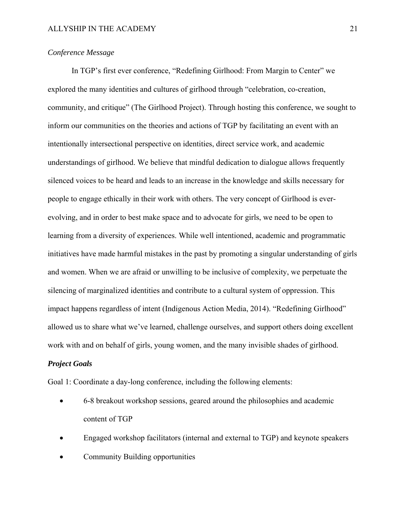## *Conference Message*

 In TGP's first ever conference, "Redefining Girlhood: From Margin to Center" we explored the many identities and cultures of girlhood through "celebration, co-creation, community, and critique" (The Girlhood Project). Through hosting this conference, we sought to inform our communities on the theories and actions of TGP by facilitating an event with an intentionally intersectional perspective on identities, direct service work, and academic understandings of girlhood. We believe that mindful dedication to dialogue allows frequently silenced voices to be heard and leads to an increase in the knowledge and skills necessary for people to engage ethically in their work with others. The very concept of Girlhood is everevolving, and in order to best make space and to advocate for girls, we need to be open to learning from a diversity of experiences. While well intentioned, academic and programmatic initiatives have made harmful mistakes in the past by promoting a singular understanding of girls and women. When we are afraid or unwilling to be inclusive of complexity, we perpetuate the silencing of marginalized identities and contribute to a cultural system of oppression. This impact happens regardless of intent (Indigenous Action Media, 2014). "Redefining Girlhood" allowed us to share what we've learned, challenge ourselves, and support others doing excellent work with and on behalf of girls, young women, and the many invisible shades of girlhood.

## *Project Goals*

Goal 1: Coordinate a day-long conference, including the following elements:

- 6-8 breakout workshop sessions, geared around the philosophies and academic content of TGP
- Engaged workshop facilitators (internal and external to TGP) and keynote speakers
- Community Building opportunities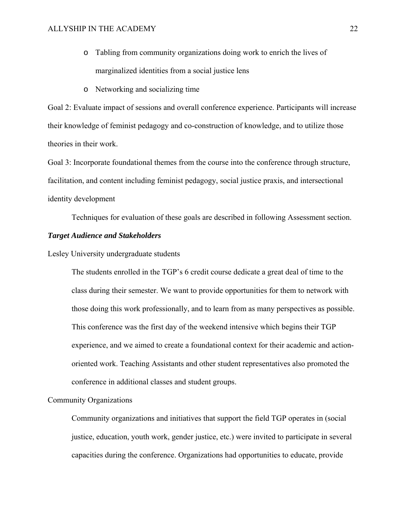- o Tabling from community organizations doing work to enrich the lives of marginalized identities from a social justice lens
- o Networking and socializing time

Goal 2: Evaluate impact of sessions and overall conference experience. Participants will increase their knowledge of feminist pedagogy and co-construction of knowledge, and to utilize those theories in their work.

Goal 3: Incorporate foundational themes from the course into the conference through structure, facilitation, and content including feminist pedagogy, social justice praxis, and intersectional identity development

Techniques for evaluation of these goals are described in following Assessment section.

### *Target Audience and Stakeholders*

Lesley University undergraduate students

The students enrolled in the TGP's 6 credit course dedicate a great deal of time to the class during their semester. We want to provide opportunities for them to network with those doing this work professionally, and to learn from as many perspectives as possible. This conference was the first day of the weekend intensive which begins their TGP experience, and we aimed to create a foundational context for their academic and actionoriented work. Teaching Assistants and other student representatives also promoted the conference in additional classes and student groups.

#### Community Organizations

Community organizations and initiatives that support the field TGP operates in (social justice, education, youth work, gender justice, etc.) were invited to participate in several capacities during the conference. Organizations had opportunities to educate, provide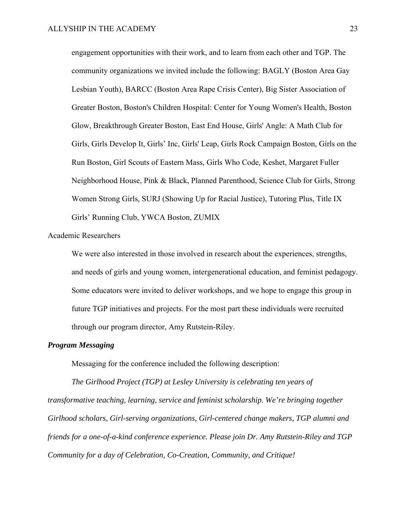engagement opportunities with their work, and to learn from each other and TGP. The community organizations we invited include the following: BAGLY (Boston Area Gay Lesbian Youth), BARCC (Boston Area Rape Crisis Center), Big Sister Association of Greater Boston, Boston's Children Hospital: Center for Young Women's Health, Boston Glow, Breakthrough Greater Boston, East End House, Girls' Angle: A Math Club for Girls, Girls Develop It, Girls' Inc, Girls' Leap, Girls Rock Campaign Boston, Girls on the Run Boston, Girl Scouts of Eastern Mass, Girls Who Code, Keshet, Margaret Fuller Neighborhood House, Pink & Black, Planned Parenthood, Science Club for Girls, Strong Women Strong Girls, SURJ (Showing Up for Racial Justice), Tutoring Plus, Title IX Girls' Running Club, YWCA Boston, ZUMIX

#### Academic Researchers

We were also interested in those involved in research about the experiences, strengths, and needs of girls and young women, intergenerational education, and feminist pedagogy. Some educators were invited to deliver workshops, and we hope to engage this group in future TGP initiatives and projects. For the most part these individuals were recruited through our program director, Amy Rutstein-Riley.

#### *Program Messaging*

Messaging for the conference included the following description:

*The Girlhood Project (TGP) at Lesley University is celebrating ten years of transformative teaching, learning, service and feminist scholarship. We're bringing together Girlhood scholars, Girl-serving organizations, Girl-centered change makers, TGP alumni and friends for a one-of-a-kind conference experience. Please join Dr. Amy Rutstein-Riley and TGP Community for a day of Celebration, Co-Creation, Community, and Critique!*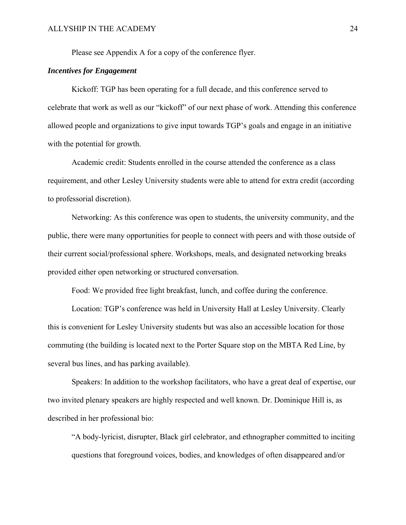Please see Appendix A for a copy of the conference flyer.

#### *Incentives for Engagement*

 Kickoff: TGP has been operating for a full decade, and this conference served to celebrate that work as well as our "kickoff" of our next phase of work. Attending this conference allowed people and organizations to give input towards TGP's goals and engage in an initiative with the potential for growth.

 Academic credit: Students enrolled in the course attended the conference as a class requirement, and other Lesley University students were able to attend for extra credit (according to professorial discretion).

 Networking: As this conference was open to students, the university community, and the public, there were many opportunities for people to connect with peers and with those outside of their current social/professional sphere. Workshops, meals, and designated networking breaks provided either open networking or structured conversation.

Food: We provided free light breakfast, lunch, and coffee during the conference.

 Location: TGP's conference was held in University Hall at Lesley University. Clearly this is convenient for Lesley University students but was also an accessible location for those commuting (the building is located next to the Porter Square stop on the MBTA Red Line, by several bus lines, and has parking available).

 Speakers: In addition to the workshop facilitators, who have a great deal of expertise, our two invited plenary speakers are highly respected and well known. Dr. Dominique Hill is, as described in her professional bio:

"A body-lyricist, disrupter, Black girl celebrator, and ethnographer committed to inciting questions that foreground voices, bodies, and knowledges of often disappeared and/or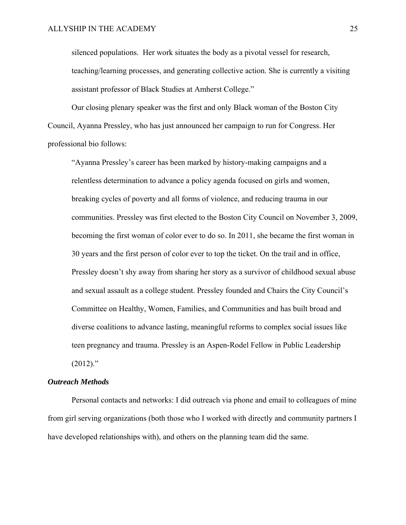silenced populations. Her work situates the body as a pivotal vessel for research, teaching/learning processes, and generating collective action. She is currently a visiting assistant professor of Black Studies at Amherst College."

 Our closing plenary speaker was the first and only Black woman of the Boston City Council, Ayanna Pressley, who has just announced her campaign to run for Congress. Her professional bio follows:

"Ayanna Pressley's career has been marked by history-making campaigns and a relentless determination to advance a policy agenda focused on girls and women, breaking cycles of poverty and all forms of violence, and reducing trauma in our communities. Pressley was first elected to the Boston City Council on November 3, 2009, becoming the first woman of color ever to do so. In 2011, she became the first woman in 30 years and the first person of color ever to top the ticket. On the trail and in office, Pressley doesn't shy away from sharing her story as a survivor of childhood sexual abuse and sexual assault as a college student. Pressley founded and Chairs the City Council's Committee on Healthy, Women, Families, and Communities and has built broad and diverse coalitions to advance lasting, meaningful reforms to complex social issues like teen pregnancy and trauma. Pressley is an Aspen-Rodel Fellow in Public Leadership  $(2012)$ ."

#### *Outreach Methods*

 Personal contacts and networks: I did outreach via phone and email to colleagues of mine from girl serving organizations (both those who I worked with directly and community partners I have developed relationships with), and others on the planning team did the same.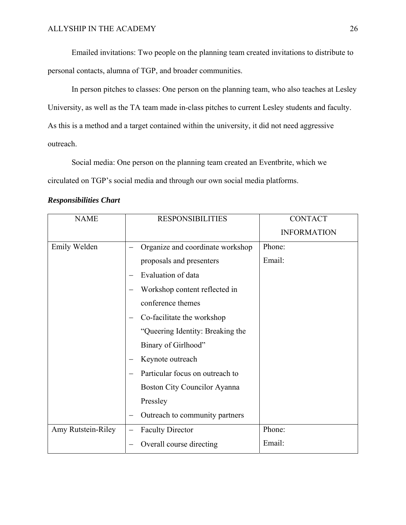Emailed invitations: Two people on the planning team created invitations to distribute to personal contacts, alumna of TGP, and broader communities.

 In person pitches to classes: One person on the planning team, who also teaches at Lesley University, as well as the TA team made in-class pitches to current Lesley students and faculty. As this is a method and a target contained within the university, it did not need aggressive outreach.

 Social media: One person on the planning team created an Eventbrite, which we circulated on TGP's social media and through our own social media platforms.

| <b>NAME</b>        | <b>RESPONSIBILITIES</b>          | <b>CONTACT</b>     |
|--------------------|----------------------------------|--------------------|
|                    |                                  | <b>INFORMATION</b> |
| Emily Welden       | Organize and coordinate workshop | Phone:             |
|                    | proposals and presenters         | Email:             |
|                    | Evaluation of data               |                    |
|                    | Workshop content reflected in    |                    |
|                    | conference themes                |                    |
|                    | Co-facilitate the workshop       |                    |
|                    | "Queering Identity: Breaking the |                    |
|                    | Binary of Girlhood"              |                    |
|                    | Keynote outreach                 |                    |
|                    | Particular focus on outreach to  |                    |
|                    | Boston City Councilor Ayanna     |                    |
|                    | Pressley                         |                    |
|                    | Outreach to community partners   |                    |
| Amy Rutstein-Riley | <b>Faculty Director</b>          | Phone:             |
|                    | Overall course directing         | Email:             |

## *Responsibilities Chart*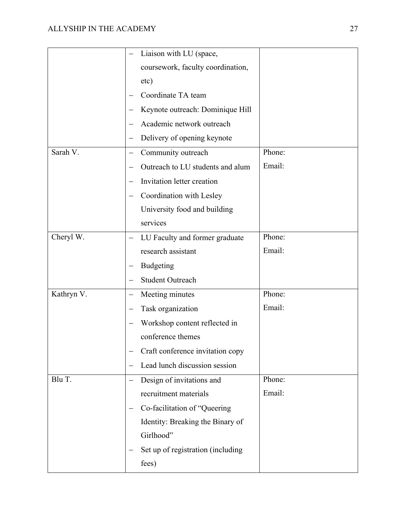|            | Liaison with LU (space,           |        |
|------------|-----------------------------------|--------|
|            | coursework, faculty coordination, |        |
|            | etc)                              |        |
|            | Coordinate TA team                |        |
|            | Keynote outreach: Dominique Hill  |        |
|            | Academic network outreach         |        |
|            | Delivery of opening keynote       |        |
| Sarah V.   | Community outreach                | Phone: |
|            | Outreach to LU students and alum  | Email: |
|            | Invitation letter creation        |        |
|            | Coordination with Lesley          |        |
|            | University food and building      |        |
|            | services                          |        |
| Cheryl W.  | LU Faculty and former graduate    | Phone: |
|            | research assistant                | Email: |
|            | <b>Budgeting</b>                  |        |
|            | <b>Student Outreach</b>           |        |
| Kathryn V. | Meeting minutes                   | Phone: |
|            | Task organization                 | Email: |
|            | Workshop content reflected in     |        |
|            | conference themes                 |        |
|            | Craft conference invitation copy  |        |
|            | Lead lunch discussion session     |        |
| Blu T.     | Design of invitations and         | Phone: |
|            | recruitment materials             | Email: |
|            | Co-facilitation of "Queering      |        |
|            | Identity: Breaking the Binary of  |        |
|            | Girlhood"                         |        |
|            | Set up of registration (including |        |
|            | fees)                             |        |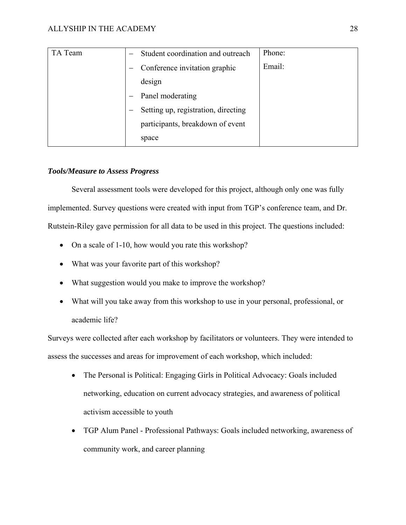| TA Team | Student coordination and outreach   | Phone: |
|---------|-------------------------------------|--------|
|         | Conference invitation graphic       | Email: |
|         | design                              |        |
|         | Panel moderating                    |        |
|         | Setting up, registration, directing |        |
|         | participants, breakdown of event    |        |
|         | space                               |        |

## *Tools/Measure to Assess Progress*

 Several assessment tools were developed for this project, although only one was fully implemented. Survey questions were created with input from TGP's conference team, and Dr. Rutstein-Riley gave permission for all data to be used in this project. The questions included:

- On a scale of 1-10, how would you rate this workshop?
- What was your favorite part of this workshop?
- What suggestion would you make to improve the workshop?
- What will you take away from this workshop to use in your personal, professional, or academic life?

Surveys were collected after each workshop by facilitators or volunteers. They were intended to assess the successes and areas for improvement of each workshop, which included:

- The Personal is Political: Engaging Girls in Political Advocacy: Goals included networking, education on current advocacy strategies, and awareness of political activism accessible to youth
- TGP Alum Panel Professional Pathways: Goals included networking, awareness of community work, and career planning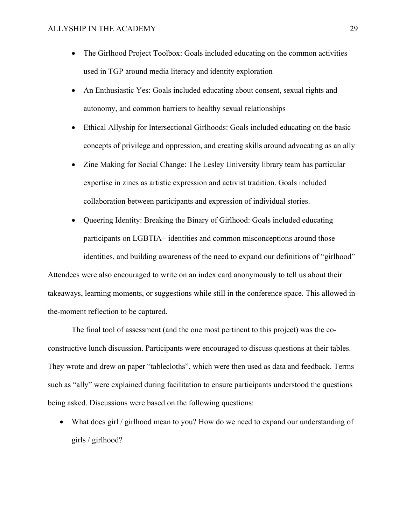- The Girlhood Project Toolbox: Goals included educating on the common activities used in TGP around media literacy and identity exploration
- An Enthusiastic Yes: Goals included educating about consent, sexual rights and autonomy, and common barriers to healthy sexual relationships
- Ethical Allyship for Intersectional Girlhoods: Goals included educating on the basic concepts of privilege and oppression, and creating skills around advocating as an ally
- Zine Making for Social Change: The Lesley University library team has particular expertise in zines as artistic expression and activist tradition. Goals included collaboration between participants and expression of individual stories.
- Queering Identity: Breaking the Binary of Girlhood: Goals included educating participants on LGBTIA+ identities and common misconceptions around those identities, and building awareness of the need to expand our definitions of "girlhood"

Attendees were also encouraged to write on an index card anonymously to tell us about their takeaways, learning moments, or suggestions while still in the conference space. This allowed inthe-moment reflection to be captured.

The final tool of assessment (and the one most pertinent to this project) was the coconstructive lunch discussion. Participants were encouraged to discuss questions at their tables. They wrote and drew on paper "tablecloths", which were then used as data and feedback. Terms such as "ally" were explained during facilitation to ensure participants understood the questions being asked. Discussions were based on the following questions:

 What does girl / girlhood mean to you? How do we need to expand our understanding of girls / girlhood?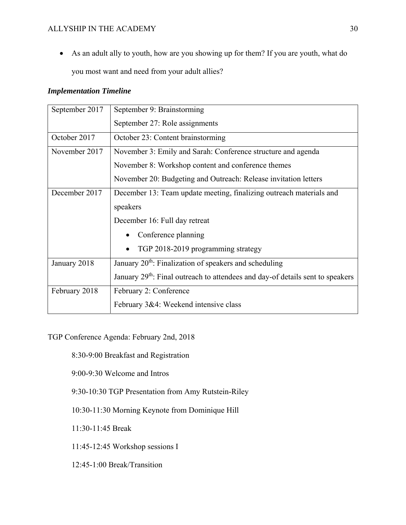As an adult ally to youth, how are you showing up for them? If you are youth, what do you most want and need from your adult allies?

## *Implementation Timeline*

| September 2017 | September 9: Brainstorming                                                                 |  |  |
|----------------|--------------------------------------------------------------------------------------------|--|--|
|                | September 27: Role assignments                                                             |  |  |
| October 2017   | October 23: Content brainstorming                                                          |  |  |
| November 2017  | November 3: Emily and Sarah: Conference structure and agenda                               |  |  |
|                | November 8: Workshop content and conference themes                                         |  |  |
|                | November 20: Budgeting and Outreach: Release invitation letters                            |  |  |
| December 2017  | December 13: Team update meeting, finalizing outreach materials and                        |  |  |
|                | speakers                                                                                   |  |  |
|                | December 16: Full day retreat                                                              |  |  |
|                | Conference planning                                                                        |  |  |
|                | TGP 2018-2019 programming strategy<br>$\bullet$                                            |  |  |
| January 2018   | January 20 <sup>th</sup> : Finalization of speakers and scheduling                         |  |  |
|                | January 29 <sup>th</sup> : Final outreach to attendees and day-of details sent to speakers |  |  |
| February 2018  | February 2: Conference                                                                     |  |  |
|                | February 3&4: Weekend intensive class                                                      |  |  |

TGP Conference Agenda: February 2nd, 2018

8:30-9:00 Breakfast and Registration

9:00-9:30 Welcome and Intros

9:30-10:30 TGP Presentation from Amy Rutstein-Riley

10:30-11:30 Morning Keynote from Dominique Hill

11:30-11:45 Break

11:45-12:45 Workshop sessions I

12:45-1:00 Break/Transition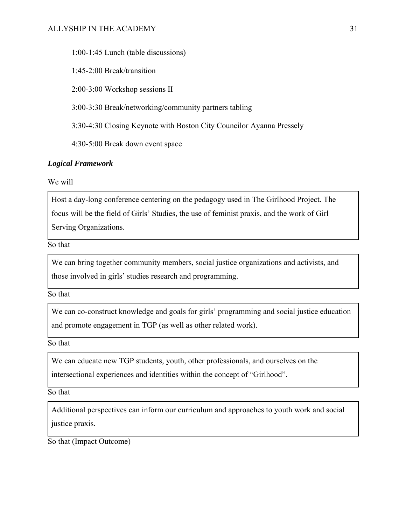1:00-1:45 Lunch (table discussions)

1:45-2:00 Break/transition

2:00-3:00 Workshop sessions II

3:00-3:30 Break/networking/community partners tabling

3:30-4:30 Closing Keynote with Boston City Councilor Ayanna Pressely

4:30-5:00 Break down event space

## *Logical Framework*

We will

Host a day-long conference centering on the pedagogy used in The Girlhood Project. The focus will be the field of Girls' Studies, the use of feminist praxis, and the work of Girl Serving Organizations.

So that

We can bring together community members, social justice organizations and activists, and those involved in girls' studies research and programming.

So that

We can co-construct knowledge and goals for girls' programming and social justice education and promote engagement in TGP (as well as other related work).

So that

We can educate new TGP students, youth, other professionals, and ourselves on the intersectional experiences and identities within the concept of "Girlhood".

So that

Additional perspectives can inform our curriculum and approaches to youth work and social justice praxis.

So that (Impact Outcome)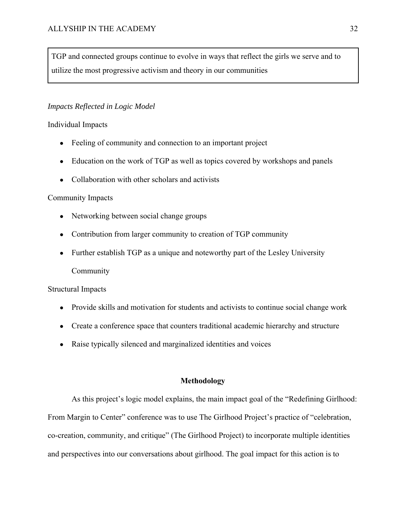TGP and connected groups continue to evolve in ways that reflect the girls we serve and to utilize the most progressive activism and theory in our communities

## *Impacts Reflected in Logic Model*

## Individual Impacts

- Feeling of community and connection to an important project
- Education on the work of TGP as well as topics covered by workshops and panels
- Collaboration with other scholars and activists

## Community Impacts

- Networking between social change groups
- Contribution from larger community to creation of TGP community
- Further establish TGP as a unique and noteworthy part of the Lesley University Community

## Structural Impacts

- Provide skills and motivation for students and activists to continue social change work
- Create a conference space that counters traditional academic hierarchy and structure
- Raise typically silenced and marginalized identities and voices

#### **Methodology**

 As this project's logic model explains, the main impact goal of the "Redefining Girlhood: From Margin to Center" conference was to use The Girlhood Project's practice of "celebration, co-creation, community, and critique" (The Girlhood Project) to incorporate multiple identities and perspectives into our conversations about girlhood. The goal impact for this action is to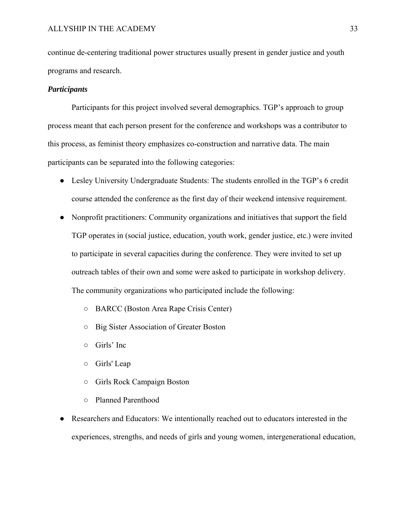continue de-centering traditional power structures usually present in gender justice and youth programs and research.

#### *Participants*

 Participants for this project involved several demographics. TGP's approach to group process meant that each person present for the conference and workshops was a contributor to this process, as feminist theory emphasizes co-construction and narrative data. The main participants can be separated into the following categories:

- Lesley University Undergraduate Students: The students enrolled in the TGP's 6 credit course attended the conference as the first day of their weekend intensive requirement.
- Nonprofit practitioners: Community organizations and initiatives that support the field TGP operates in (social justice, education, youth work, gender justice, etc.) were invited to participate in several capacities during the conference. They were invited to set up outreach tables of their own and some were asked to participate in workshop delivery. The community organizations who participated include the following:
	- BARCC (Boston Area Rape Crisis Center)
	- Big Sister Association of Greater Boston
	- Girls' Inc
	- Girls' Leap
	- Girls Rock Campaign Boston
	- Planned Parenthood
- Researchers and Educators: We intentionally reached out to educators interested in the experiences, strengths, and needs of girls and young women, intergenerational education,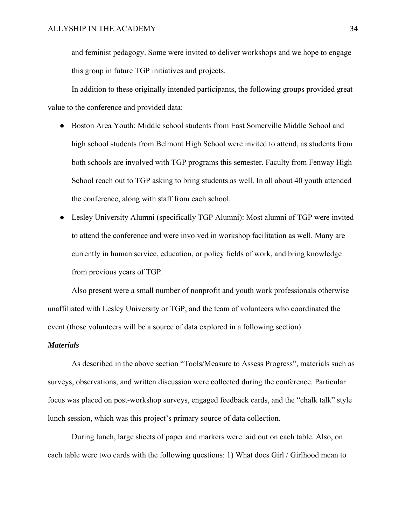and feminist pedagogy. Some were invited to deliver workshops and we hope to engage this group in future TGP initiatives and projects.

 In addition to these originally intended participants, the following groups provided great value to the conference and provided data:

- Boston Area Youth: Middle school students from East Somerville Middle School and high school students from Belmont High School were invited to attend, as students from both schools are involved with TGP programs this semester. Faculty from Fenway High School reach out to TGP asking to bring students as well. In all about 40 youth attended the conference, along with staff from each school.
- Lesley University Alumni (specifically TGP Alumni): Most alumni of TGP were invited to attend the conference and were involved in workshop facilitation as well. Many are currently in human service, education, or policy fields of work, and bring knowledge from previous years of TGP.

 Also present were a small number of nonprofit and youth work professionals otherwise unaffiliated with Lesley University or TGP, and the team of volunteers who coordinated the event (those volunteers will be a source of data explored in a following section).

#### *Materials*

 As described in the above section "Tools/Measure to Assess Progress", materials such as surveys, observations, and written discussion were collected during the conference. Particular focus was placed on post-workshop surveys, engaged feedback cards, and the "chalk talk" style lunch session, which was this project's primary source of data collection.

 During lunch, large sheets of paper and markers were laid out on each table. Also, on each table were two cards with the following questions: 1) What does Girl / Girlhood mean to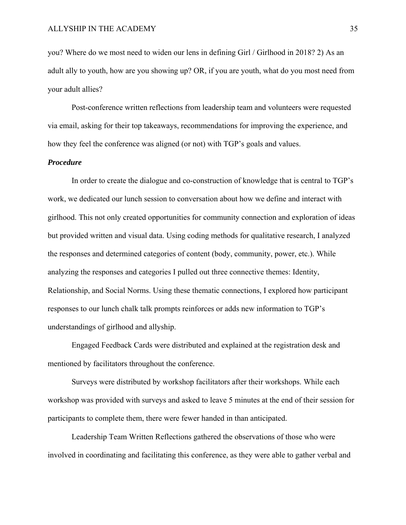you? Where do we most need to widen our lens in defining Girl / Girlhood in 2018? 2) As an adult ally to youth, how are you showing up? OR, if you are youth, what do you most need from your adult allies?

 Post-conference written reflections from leadership team and volunteers were requested via email, asking for their top takeaways, recommendations for improving the experience, and how they feel the conference was aligned (or not) with TGP's goals and values.

### *Procedure*

 In order to create the dialogue and co-construction of knowledge that is central to TGP's work, we dedicated our lunch session to conversation about how we define and interact with girlhood. This not only created opportunities for community connection and exploration of ideas but provided written and visual data. Using coding methods for qualitative research, I analyzed the responses and determined categories of content (body, community, power, etc.). While analyzing the responses and categories I pulled out three connective themes: Identity, Relationship, and Social Norms. Using these thematic connections, I explored how participant responses to our lunch chalk talk prompts reinforces or adds new information to TGP's understandings of girlhood and allyship.

 Engaged Feedback Cards were distributed and explained at the registration desk and mentioned by facilitators throughout the conference.

 Surveys were distributed by workshop facilitators after their workshops. While each workshop was provided with surveys and asked to leave 5 minutes at the end of their session for participants to complete them, there were fewer handed in than anticipated.

 Leadership Team Written Reflections gathered the observations of those who were involved in coordinating and facilitating this conference, as they were able to gather verbal and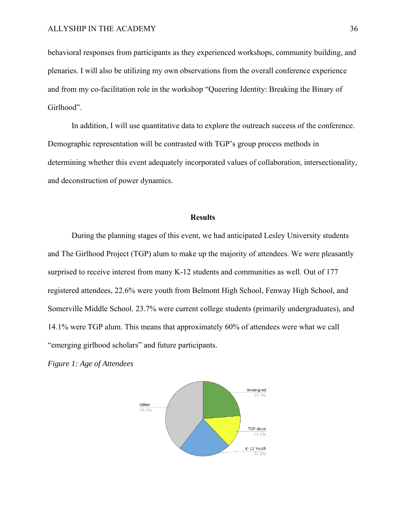behavioral responses from participants as they experienced workshops, community building, and plenaries. I will also be utilizing my own observations from the overall conference experience and from my co-facilitation role in the workshop "Queering Identity: Breaking the Binary of Girlhood".

 In addition, I will use quantitative data to explore the outreach success of the conference. Demographic representation will be contrasted with TGP's group process methods in determining whether this event adequately incorporated values of collaboration, intersectionality, and deconstruction of power dynamics.

#### **Results**

During the planning stages of this event, we had anticipated Lesley University students and The Girlhood Project (TGP) alum to make up the majority of attendees. We were pleasantly surprised to receive interest from many K-12 students and communities as well. Out of 177 registered attendees, 22.6% were youth from Belmont High School, Fenway High School, and Somerville Middle School. 23.7% were current college students (primarily undergraduates), and 14.1% were TGP alum. This means that approximately 60% of attendees were what we call "emerging girlhood scholars" and future participants.

*Figure 1: Age of Attendees* 

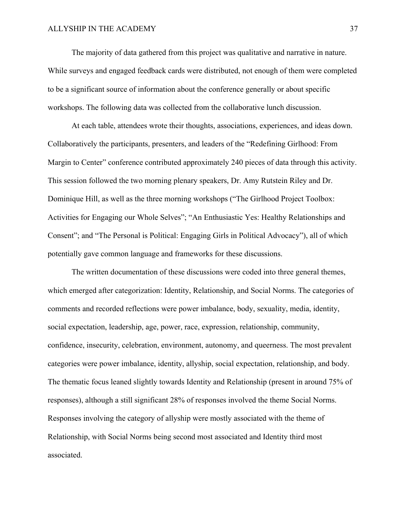The majority of data gathered from this project was qualitative and narrative in nature. While surveys and engaged feedback cards were distributed, not enough of them were completed to be a significant source of information about the conference generally or about specific workshops. The following data was collected from the collaborative lunch discussion.

 At each table, attendees wrote their thoughts, associations, experiences, and ideas down. Collaboratively the participants, presenters, and leaders of the "Redefining Girlhood: From Margin to Center" conference contributed approximately 240 pieces of data through this activity. This session followed the two morning plenary speakers, Dr. Amy Rutstein Riley and Dr. Dominique Hill, as well as the three morning workshops ("The Girlhood Project Toolbox: Activities for Engaging our Whole Selves"; "An Enthusiastic Yes: Healthy Relationships and Consent"; and "The Personal is Political: Engaging Girls in Political Advocacy"), all of which potentially gave common language and frameworks for these discussions.

The written documentation of these discussions were coded into three general themes, which emerged after categorization: Identity, Relationship, and Social Norms. The categories of comments and recorded reflections were power imbalance, body, sexuality, media, identity, social expectation, leadership, age, power, race, expression, relationship, community, confidence, insecurity, celebration, environment, autonomy, and queerness. The most prevalent categories were power imbalance, identity, allyship, social expectation, relationship, and body. The thematic focus leaned slightly towards Identity and Relationship (present in around 75% of responses), although a still significant 28% of responses involved the theme Social Norms. Responses involving the category of allyship were mostly associated with the theme of Relationship, with Social Norms being second most associated and Identity third most associated.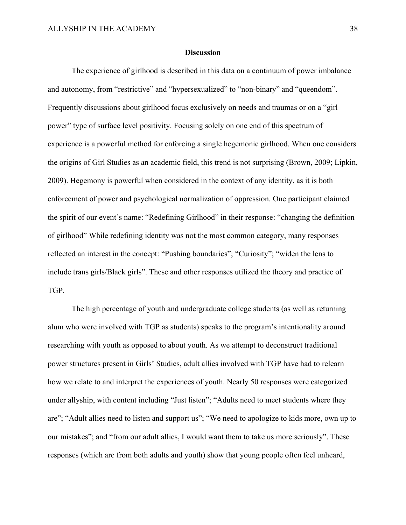#### **Discussion**

 The experience of girlhood is described in this data on a continuum of power imbalance and autonomy, from "restrictive" and "hypersexualized" to "non-binary" and "queendom". Frequently discussions about girlhood focus exclusively on needs and traumas or on a "girl power" type of surface level positivity. Focusing solely on one end of this spectrum of experience is a powerful method for enforcing a single hegemonic girlhood. When one considers the origins of Girl Studies as an academic field, this trend is not surprising (Brown, 2009; Lipkin, 2009). Hegemony is powerful when considered in the context of any identity, as it is both enforcement of power and psychological normalization of oppression. One participant claimed the spirit of our event's name: "Redefining Girlhood" in their response: "changing the definition of girlhood" While redefining identity was not the most common category, many responses reflected an interest in the concept: "Pushing boundaries"; "Curiosity"; "widen the lens to include trans girls/Black girls". These and other responses utilized the theory and practice of TGP.

 The high percentage of youth and undergraduate college students (as well as returning alum who were involved with TGP as students) speaks to the program's intentionality around researching with youth as opposed to about youth. As we attempt to deconstruct traditional power structures present in Girls' Studies, adult allies involved with TGP have had to relearn how we relate to and interpret the experiences of youth. Nearly 50 responses were categorized under allyship, with content including "Just listen"; "Adults need to meet students where they are"; "Adult allies need to listen and support us"; "We need to apologize to kids more, own up to our mistakes"; and "from our adult allies, I would want them to take us more seriously". These responses (which are from both adults and youth) show that young people often feel unheard,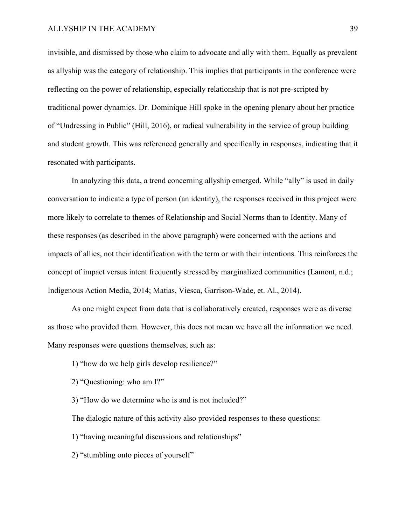invisible, and dismissed by those who claim to advocate and ally with them. Equally as prevalent as allyship was the category of relationship. This implies that participants in the conference were reflecting on the power of relationship, especially relationship that is not pre-scripted by traditional power dynamics. Dr. Dominique Hill spoke in the opening plenary about her practice of "Undressing in Public" (Hill, 2016), or radical vulnerability in the service of group building and student growth. This was referenced generally and specifically in responses, indicating that it resonated with participants.

 In analyzing this data, a trend concerning allyship emerged. While "ally" is used in daily conversation to indicate a type of person (an identity), the responses received in this project were more likely to correlate to themes of Relationship and Social Norms than to Identity. Many of these responses (as described in the above paragraph) were concerned with the actions and impacts of allies, not their identification with the term or with their intentions. This reinforces the concept of impact versus intent frequently stressed by marginalized communities (Lamont, n.d.; Indigenous Action Media, 2014; Matias, Viesca, Garrison-Wade, et. Al., 2014).

As one might expect from data that is collaboratively created, responses were as diverse as those who provided them. However, this does not mean we have all the information we need. Many responses were questions themselves, such as:

- 1) "how do we help girls develop resilience?"
- 2) "Questioning: who am I?"
- 3) "How do we determine who is and is not included?"

The dialogic nature of this activity also provided responses to these questions:

- 1) "having meaningful discussions and relationships"
- 2) "stumbling onto pieces of yourself"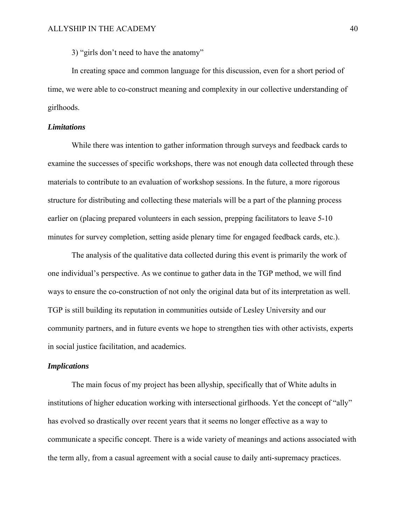3) "girls don't need to have the anatomy"

In creating space and common language for this discussion, even for a short period of time, we were able to co-construct meaning and complexity in our collective understanding of girlhoods.

### *Limitations*

 While there was intention to gather information through surveys and feedback cards to examine the successes of specific workshops, there was not enough data collected through these materials to contribute to an evaluation of workshop sessions. In the future, a more rigorous structure for distributing and collecting these materials will be a part of the planning process earlier on (placing prepared volunteers in each session, prepping facilitators to leave 5-10 minutes for survey completion, setting aside plenary time for engaged feedback cards, etc.).

 The analysis of the qualitative data collected during this event is primarily the work of one individual's perspective. As we continue to gather data in the TGP method, we will find ways to ensure the co-construction of not only the original data but of its interpretation as well. TGP is still building its reputation in communities outside of Lesley University and our community partners, and in future events we hope to strengthen ties with other activists, experts in social justice facilitation, and academics.

#### *Implications*

 The main focus of my project has been allyship, specifically that of White adults in institutions of higher education working with intersectional girlhoods. Yet the concept of "ally" has evolved so drastically over recent years that it seems no longer effective as a way to communicate a specific concept. There is a wide variety of meanings and actions associated with the term ally, from a casual agreement with a social cause to daily anti-supremacy practices.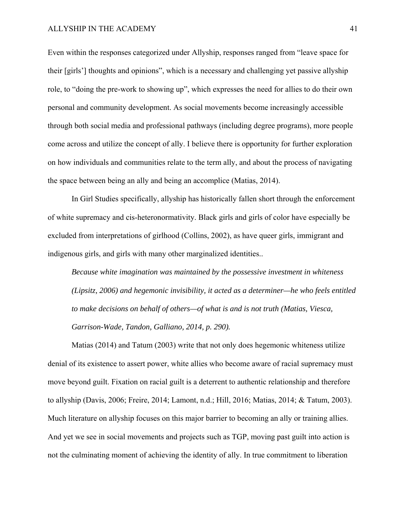Even within the responses categorized under Allyship, responses ranged from "leave space for their [girls'] thoughts and opinions", which is a necessary and challenging yet passive allyship role, to "doing the pre-work to showing up", which expresses the need for allies to do their own personal and community development. As social movements become increasingly accessible through both social media and professional pathways (including degree programs), more people come across and utilize the concept of ally. I believe there is opportunity for further exploration on how individuals and communities relate to the term ally, and about the process of navigating the space between being an ally and being an accomplice (Matias, 2014).

 In Girl Studies specifically, allyship has historically fallen short through the enforcement of white supremacy and cis-heteronormativity. Black girls and girls of color have especially be excluded from interpretations of girlhood (Collins, 2002), as have queer girls, immigrant and indigenous girls, and girls with many other marginalized identities..

*Because white imagination was maintained by the possessive investment in whiteness (Lipsitz, 2006) and hegemonic invisibility, it acted as a determiner—he who feels entitled to make decisions on behalf of others—of what is and is not truth (Matias, Viesca, Garrison-Wade, Tandon, Galliano, 2014, p. 290).* 

 Matias (2014) and Tatum (2003) write that not only does hegemonic whiteness utilize denial of its existence to assert power, white allies who become aware of racial supremacy must move beyond guilt. Fixation on racial guilt is a deterrent to authentic relationship and therefore to allyship (Davis, 2006; Freire, 2014; Lamont, n.d.; Hill, 2016; Matias, 2014; & Tatum, 2003). Much literature on allyship focuses on this major barrier to becoming an ally or training allies. And yet we see in social movements and projects such as TGP, moving past guilt into action is not the culminating moment of achieving the identity of ally. In true commitment to liberation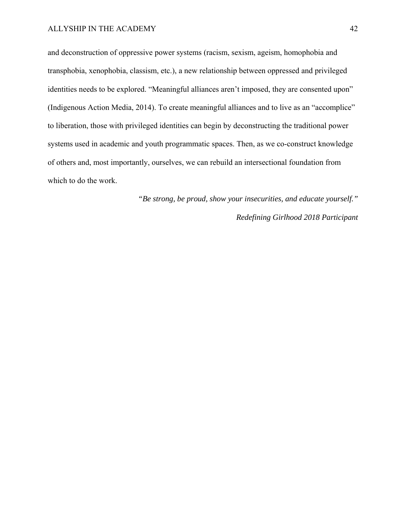and deconstruction of oppressive power systems (racism, sexism, ageism, homophobia and transphobia, xenophobia, classism, etc.), a new relationship between oppressed and privileged identities needs to be explored. "Meaningful alliances aren't imposed, they are consented upon" (Indigenous Action Media, 2014). To create meaningful alliances and to live as an "accomplice" to liberation, those with privileged identities can begin by deconstructing the traditional power systems used in academic and youth programmatic spaces. Then, as we co-construct knowledge of others and, most importantly, ourselves, we can rebuild an intersectional foundation from which to do the work.

> *"Be strong, be proud, show your insecurities, and educate yourself." Redefining Girlhood 2018 Participant*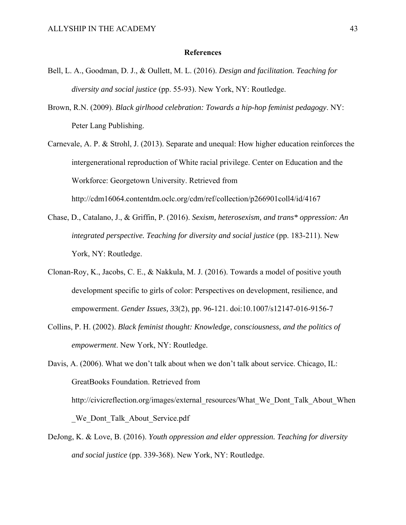#### **References**

- Bell, L. A., Goodman, D. J., & Oullett, M. L. (2016). *Design and facilitation. Teaching for diversity and social justice* (pp. 55-93). New York, NY: Routledge.
- Brown, R.N. (2009). *Black girlhood celebration: Towards a hip-hop feminist pedagogy*. NY: Peter Lang Publishing.
- Carnevale, A. P. & Strohl, J. (2013). Separate and unequal: How higher education reinforces the intergenerational reproduction of White racial privilege. Center on Education and the Workforce: Georgetown University. Retrieved from http://cdm16064.contentdm.oclc.org/cdm/ref/collection/p266901coll4/id/4167
- Chase, D., Catalano, J., & Griffin, P. (2016). *Sexism, heterosexism, and trans\* oppression: An integrated perspective. Teaching for diversity and social justice* (pp. 183-211). New York, NY: Routledge.
- Clonan-Roy, K., Jacobs, C. E., & Nakkula, M. J. (2016). Towards a model of positive youth development specific to girls of color: Perspectives on development, resilience, and empowerment. *Gender Issues, 33*(2), pp. 96-121. doi:10.1007/s12147-016-9156-7
- Collins, P. H. (2002). *Black feminist thought: Knowledge, consciousness, and the politics of empowerment*. New York, NY: Routledge.

Davis, A. (2006). What we don't talk about when we don't talk about service. Chicago, IL: GreatBooks Foundation. Retrieved from http://civicreflection.org/images/external\_resources/What\_We\_Dont\_Talk\_About\_When We Dont Talk About Service.pdf

DeJong, K. & Love, B. (2016). *Youth oppression and elder oppression. Teaching for diversity and social justice* (pp. 339-368). New York, NY: Routledge.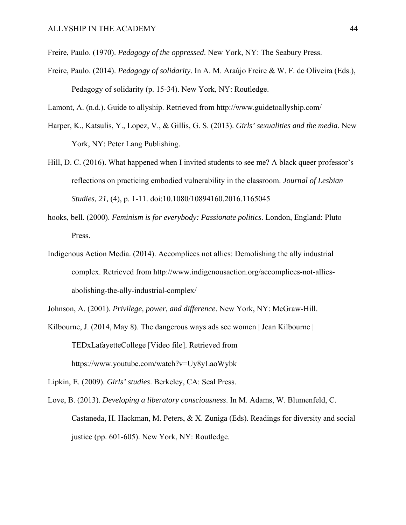Freire, Paulo. (1970). *Pedagogy of the oppressed*. New York, NY: The Seabury Press.

Freire, Paulo. (2014). *Pedagogy of solidarity*. In A. M. Araújo Freire & W. F. de Oliveira (Eds.), Pedagogy of solidarity (p. 15-34). New York, NY: Routledge.

Lamont, A. (n.d.). Guide to allyship. Retrieved from http://www.guidetoallyship.com/

- Harper, K., Katsulis, Y., Lopez, V., & Gillis, G. S. (2013). *Girls' sexualities and the media*. New York, NY: Peter Lang Publishing.
- Hill, D. C. (2016). What happened when I invited students to see me? A black queer professor's reflections on practicing embodied vulnerability in the classroom. *Journal of Lesbian Studies, 21,* (4), p. 1-11. doi:10.1080/10894160.2016.1165045
- hooks, bell. (2000). *Feminism is for everybody: Passionate politics*. London, England: Pluto Press.
- Indigenous Action Media. (2014). Accomplices not allies: Demolishing the ally industrial complex. Retrieved from http://www.indigenousaction.org/accomplices-not-alliesabolishing-the-ally-industrial-complex/

Johnson, A. (2001). *Privilege, power, and difference*. New York, NY: McGraw-Hill.

Kilbourne, J. (2014, May 8). The dangerous ways ads see women | Jean Kilbourne | TEDxLafayetteCollege [Video file]. Retrieved from https://www.youtube.com/watch?v=Uy8yLaoWybk

Lipkin, E. (2009). *Girls' studies*. Berkeley, CA: Seal Press.

Love, B. (2013). *Developing a liberatory consciousness*. In M. Adams, W. Blumenfeld, C. Castaneda, H. Hackman, M. Peters, & X. Zuniga (Eds). Readings for diversity and social justice (pp. 601-605). New York, NY: Routledge.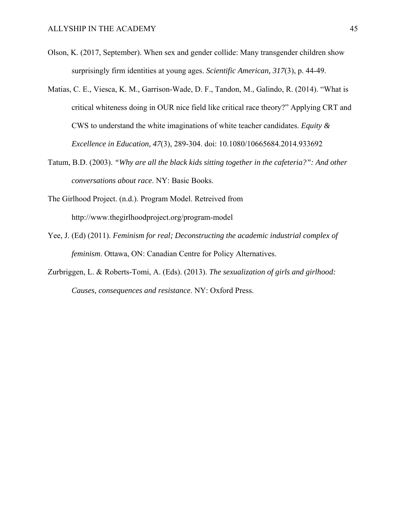- Olson, K. (2017, September). When sex and gender collide: Many transgender children show surprisingly firm identities at young ages. *Scientific American, 317*(3), p. 44-49.
- Matias, C. E., Viesca, K. M., Garrison-Wade, D. F., Tandon, M., Galindo, R. (2014). "What is critical whiteness doing in OUR nice field like critical race theory?" Applying CRT and CWS to understand the white imaginations of white teacher candidates. *Equity & Excellence in Education, 47*(3), 289-304. doi: 10.1080/10665684.2014.933692
- Tatum, B.D. (2003). *"Why are all the black kids sitting together in the cafeteria?": And other conversations about race*. NY: Basic Books.
- The Girlhood Project. (n.d.). Program Model. Retreived from http://www.thegirlhoodproject.org/program-model
- Yee, J. (Ed) (2011). *Feminism for real; Deconstructing the academic industrial complex of feminism*. Ottawa, ON: Canadian Centre for Policy Alternatives.
- Zurbriggen, L. & Roberts-Tomi, A. (Eds). (2013). *The sexualization of girls and girlhood: Causes, consequences and resistance*. NY: Oxford Press.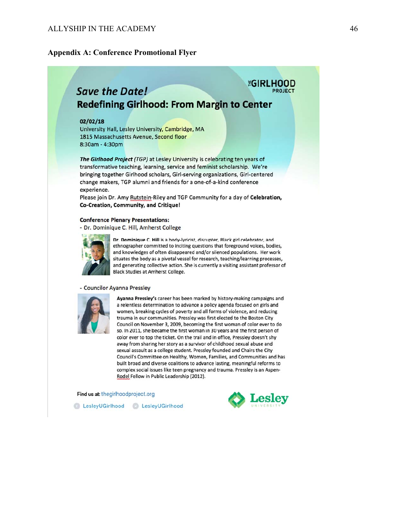## **Appendix A: Conference Promotional Flyer**

## *EGIRLHOOD* **Save the Date! Redefining Girlhood: From Margin to Center**

#### $02/02/18$

University Hall, Lesley University, Cambridge, MA 1815 Massachusetts Avenue, Second floor 8:30am - 4:30pm

The Girlhood Project (TGP) at Lesley University is celebrating ten years of transformative teaching, learning, service and feminist scholarship. We're bringing together Girlhood scholars, Girl-serving organizations, Girl-centered change makers, TGP alumni and friends for a one-of-a-kind conference experience.

Please join Dr. Amy Rutstein-Riley and TGP Community for a day of Celebration, Co-Creation, Community, and Critique!

#### **Conference Plenary Presentations:**

- Dr. Dominique C. Hill, Amherst College



Dr. Dominique C. Hill is a body-lyricist, disrupter, Black girl celebrator, and ethnographer committed to inciting questions that foreground voices, bodies, and knowledges of often disappeared and/or silenced populations. Her work situates the body as a pivotal vessel for research, teaching/learning processes, and generating collective action. She is currently a visiting assistant professor of **Black Studies at Amherst College.** 

#### - Councilor Ayanna Pressley



Ayanna Pressley's career has been marked by history-making campaigns and a relentless determination to advance a policy agenda focused on girls and women, breaking cycles of poverty and all forms of violence, and reducing trauma in our communities. Pressley was first elected to the Boston City Council on November 3, 2009, becoming the first woman of color ever to do so. In 2011, she became the first woman in 30 years and the first person of color ever to top the ticket. On the trail and in office, Pressley doesn't shy away from sharing her story as a survivor of childhood sexual abuse and sexual assault as a college student. Pressley founded and Chairs the City Council's Committee on Healthy, Women, Families, and Communities and has built broad and diverse coalitions to advance lasting, meaningful reforms to complex social issues like teen pregnancy and trauma. Pressley is an Aspen-Rodel Fellow in Public Leadership (2012).

Find us at: thegirlhoodproject.org



C LesleyUGirlhood LesleyUGirlhood